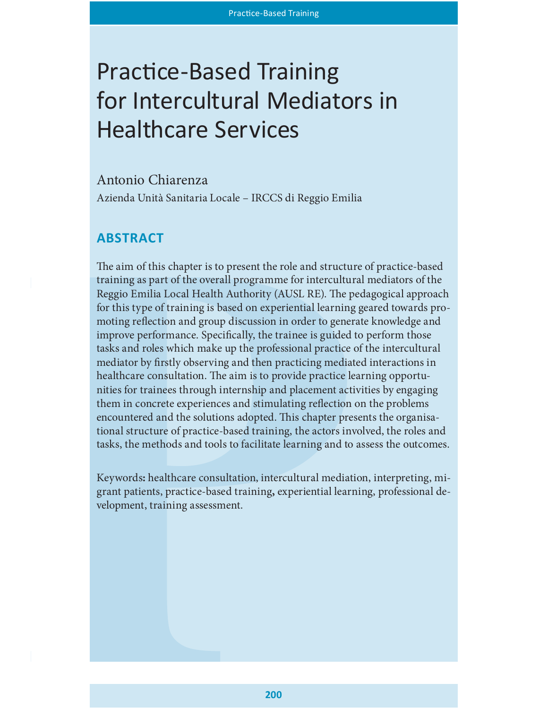# Practice-Based Training for Intercultural Mediators in Healthcare Services

# Antonio Chiarenza Azienda Unità Sanitaria Locale – IRCCS di Reggio Emilia

# **ABSTRACT**

The aim of this chapter is to present the role and structure of practice-based training as part of the overall programme for intercultural mediators of the Reggio Emilia Local Health Authority (AUSL RE). The pedagogical approach for this type of training is based on experiential learning geared towards promoting reflection and group discussion in order to generate knowledge and improve performance. Specifically, the trainee is guided to perform those tasks and roles which make up the professional practice of the intercultural mediator by firstly observing and then practicing mediated interactions in healthcare consultation. The aim is to provide practice learning opportunities for trainees through internship and placement activities by engaging them in concrete experiences and stimulating reflection on the problems encountered and the solutions adopted. This chapter presents the organisational structure of practice-based training, the actors involved, the roles and tasks, the methods and tools to facilitate learning and to assess the outcomes.

Keywords: healthcare consultation, intercultural mediation, interpreting, migrant patients, practice-based training, experiential learning, professional development, training assessment.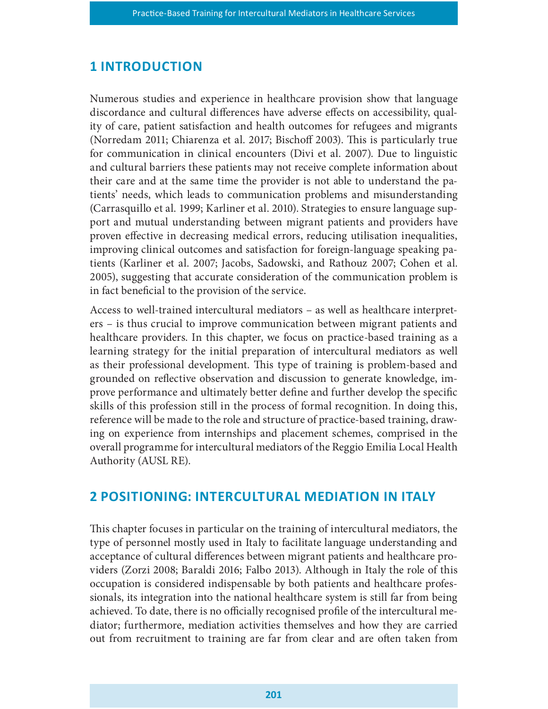## **1 INTRODUCTION**

Numerous studies and experience in healthcare provision show that language discordance and cultural differences have adverse effects on accessibility, quality of care, patient satisfaction and health outcomes for refugees and migrants (Norredam 2011; Chiarenza et al. 2017; Bischoff 2003). This is particularly true for communication in clinical encounters (Divi et al. 2007). Due to linguistic and cultural barriers these patients may not receive complete information about their care and at the same time the provider is not able to understand the patients' needs, which leads to communication problems and misunderstanding (Carrasquillo et al. 1999; Karliner et al. 2010). Strategies to ensure language support and mutual understanding between migrant patients and providers have proven effective in decreasing medical errors, reducing utilisation inequalities, improving clinical outcomes and satisfaction for foreign-language speaking patients (Karliner et al. 2007; Jacobs, Sadowski, and Rathouz 2007; Cohen et al. 2005), suggesting that accurate consideration of the communication problem is in fact beneficial to the provision of the service.

Access to well-trained intercultural mediators – as well as healthcare interpreters – is thus crucial to improve communication between migrant patients and healthcare providers. In this chapter, we focus on practice-based training as a learning strategy for the initial preparation of intercultural mediators as well as their professional development. This type of training is problem-based and grounded on reflective observation and discussion to generate knowledge, improve performance and ultimately better define and further develop the specific skills of this profession still in the process of formal recognition. In doing this, reference will be made to the role and structure of practice-based training, drawing on experience from internships and placement schemes, comprised in the overall programme for intercultural mediators of the Reggio Emilia Local Health Authority (AUSL RE).

# 2 POSITIONING: INTERCULTURAL MEDIATION IN ITALY

This chapter focuses in particular on the training of intercultural mediators, the type of personnel mostly used in Italy to facilitate language understanding and acceptance of cultural differences between migrant patients and healthcare providers (Zorzi 2008; Baraldi 2016; Falbo 2013). Although in Italy the role of this occupation is considered indispensable by both patients and healthcare professionals, its integration into the national healthcare system is still far from being achieved. To date, there is no officially recognised profile of the intercultural mediator; furthermore, mediation activities themselves and how they are carried out from recruitment to training are far from clear and are often taken from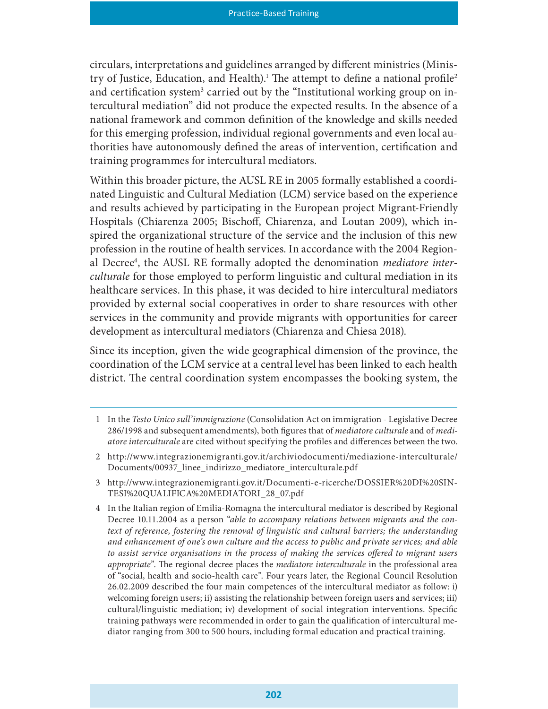circulars, interpretations and guidelines arranged by different ministries (Ministry of Justice, Education, and Health).<sup>1</sup> The attempt to define a national profile<sup>2</sup> and certification system<sup>3</sup> carried out by the "Institutional working group on intercultural mediation" did not produce the expected results. In the absence of a national framework and common definition of the knowledge and skills needed for this emerging profession, individual regional governments and even local authorities have autonomously defined the areas of intervention, certification and training programmes for intercultural mediators.

Within this broader picture, the AUSL RE in 2005 formally established a coordinated Linguistic and Cultural Mediation (LCM) service based on the experience and results achieved by participating in the European project Migrant-Friendly Hospitals (Chiarenza 2005; Bischoff, Chiarenza, and Loutan 2009), which inspired the organizational structure of the service and the inclusion of this new profession in the routine of health services. In accordance with the 2004 Regional Decree<sup>4</sup>, the AUSL RE formally adopted the denomination mediatore interculturale for those employed to perform linguistic and cultural mediation in its healthcare services. In this phase, it was decided to hire intercultural mediators provided by external social cooperatives in order to share resources with other services in the community and provide migrants with opportunities for career development as intercultural mediators (Chiarenza and Chiesa 2018).

Since its inception, given the wide geographical dimension of the province, the coordination of the LCM service at a central level has been linked to each health district. The central coordination system encompasses the booking system, the

<sup>1</sup> In the Testo Unico sull'immigrazione (Consolidation Act on immigration - Legislative Decree 286/1998 and subsequent amendments), both figures that of mediatore culturale and of mediatore interculturale are cited without specifying the profiles and differences between the two.

<sup>2</sup> http://www.integrazionemigranti.gov.it/archiviodocumenti/mediazione-interculturale/ Documents/00937\_linee\_indirizzo\_mediatore\_interculturale.pdf

<sup>3</sup> http://www.integrazionemigranti.gov.it/Documenti-e-ricerche/DOSSIER%20DI%20SIN-TESI%20QUALIFICA%20MEDIATORI\_28\_07.pdf

<sup>4</sup> In the Italian region of Emilia-Romagna the intercultural mediator is described by Regional Decree 10.11.2004 as a person "able to accompany relations between migrants and the context of reference, fostering the removal of linguistic and cultural barriers; the understanding and enhancement of one's own culture and the access to public and private services; and able to assist service organisations in the process of making the services offered to migrant users appropriate". The regional decree places the *mediatore interculturale* in the professional area of "social, health and socio-health care". Four years later, the Regional Council Resolution 26.02.2009 described the four main competences of the intercultural mediator as follow: i) welcoming foreign users; ii) assisting the relationship between foreign users and services; iii) cultural/linguistic mediation; iv) development of social integration interventions. Specific training pathways were recommended in order to gain the qualification of intercultural mediator ranging from 300 to 500 hours, including formal education and practical training.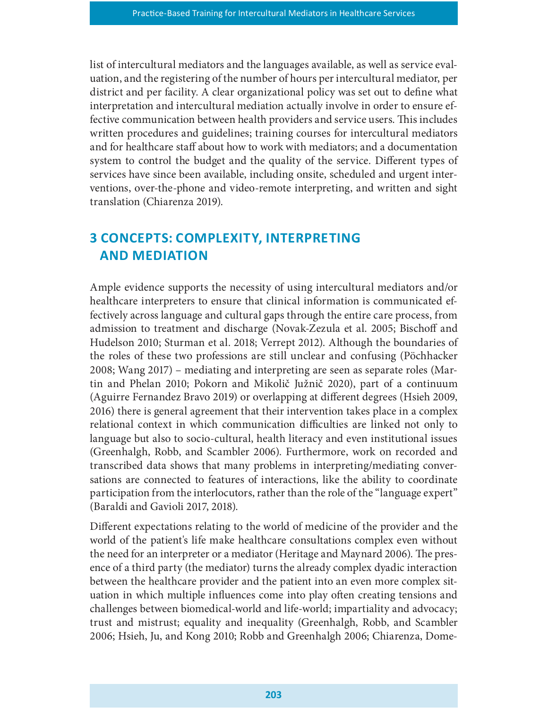list of intercultural mediators and the languages available, as well as service evaluation, and the registering of the number of hours per intercultural mediator, per district and per facility. A clear organizational policy was set out to define what interpretation and intercultural mediation actually involve in order to ensure effective communication between health providers and service users. This includes written procedures and guidelines; training courses for intercultural mediators and for healthcare staff about how to work with mediators; and a documentation system to control the budget and the quality of the service. Different types of services have since been available, including onsite, scheduled and urgent interventions, over-the-phone and video-remote interpreting, and written and sight translation (Chiarenza 2019).

# 3 CONCEPTS: COMPLEXITY, INTERPRETING **AND MEDIATION**

Ample evidence supports the necessity of using intercultural mediators and/or healthcare interpreters to ensure that clinical information is communicated effectively across language and cultural gaps through the entire care process, from admission to treatment and discharge (Novak-Zezula et al. 2005; Bischoff and Hudelson 2010; Sturman et al. 2018; Verrept 2012). Although the boundaries of the roles of these two professions are still unclear and confusing (Pöchhacker 2008; Wang 2017) – mediating and interpreting are seen as separate roles (Martin and Phelan 2010; Pokorn and Mikolič Južnič 2020), part of a continuum (Aguirre Fernandez Bravo 2019) or overlapping at different degrees (Hsieh 2009, 2016) there is general agreement that their intervention takes place in a complex relational context in which communication difficulties are linked not only to language but also to socio-cultural, health literacy and even institutional issues (Greenhalgh, Robb, and Scambler 2006). Furthermore, work on recorded and transcribed data shows that many problems in interpreting/mediating conversations are connected to features of interactions, like the ability to coordinate participation from the interlocutors, rather than the role of the "language expert" (Baraldi and Gavioli 2017, 2018).

Different expectations relating to the world of medicine of the provider and the world of the patient's life make healthcare consultations complex even without the need for an interpreter or a mediator (Heritage and Maynard 2006). The presence of a third party (the mediator) turns the already complex dyadic interaction between the healthcare provider and the patient into an even more complex situation in which multiple influences come into play often creating tensions and challenges between biomedical-world and life-world; impartiality and advocacy; trust and mistrust; equality and inequality (Greenhalgh, Robb, and Scambler 2006; Hsieh, Ju, and Kong 2010; Robb and Greenhalgh 2006; Chiarenza, Dome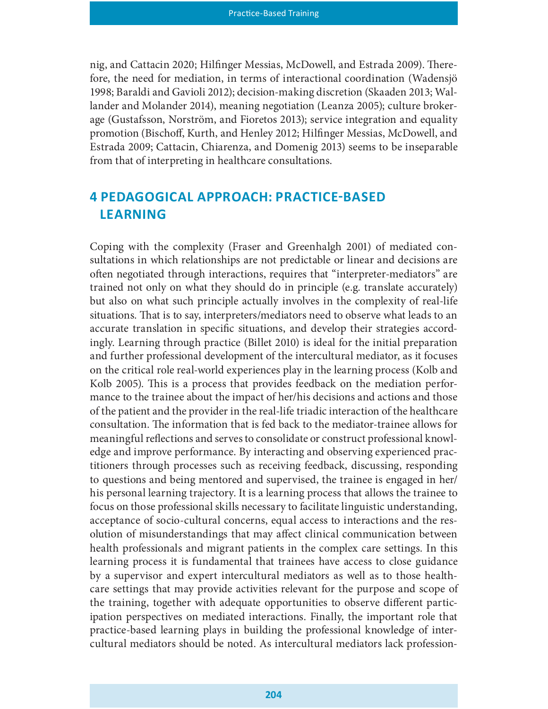nig, and Cattacin 2020; Hilfinger Messias, McDowell, and Estrada 2009). Therefore, the need for mediation, in terms of interactional coordination (Wadensjö 1998; Baraldi and Gavioli 2012); decision-making discretion (Skaaden 2013; Wallander and Molander 2014), meaning negotiation (Leanza 2005); culture brokerage (Gustafsson, Norström, and Fioretos 2013); service integration and equality promotion (Bischoff, Kurth, and Henley 2012; Hilfinger Messias, McDowell, and Estrada 2009; Cattacin, Chiarenza, and Domenig 2013) seems to be inseparable from that of interpreting in healthcare consultations.

# 4 PEDAGOGICAL APPROACH: PRACTICE-BASED LEARNING

Coping with the complexity (Fraser and Greenhalgh 2001) of mediated consultations in which relationships are not predictable or linear and decisions are often negotiated through interactions, requires that "interpreter-mediators" are trained not only on what they should do in principle (e.g. translate accurately) but also on what such principle actually involves in the complexity of real-life situations. That is to say, interpreters/mediators need to observe what leads to an accurate translation in specific situations, and develop their strategies accordingly. Learning through practice (Billet 2010) is ideal for the initial preparation and further professional development of the intercultural mediator, as it focuses on the critical role real-world experiences play in the learning process (Kolb and Kolb 2005). This is a process that provides feedback on the mediation performance to the trainee about the impact of her/his decisions and actions and those of the patient and the provider in the real-life triadic interaction of the healthcare consultation. The information that is fed back to the mediator-trainee allows for meaningful reflections and serves to consolidate or construct professional knowledge and improve performance. By interacting and observing experienced practitioners through processes such as receiving feedback, discussing, responding to questions and being mentored and supervised, the trainee is engaged in her/ his personal learning trajectory. It is a learning process that allows the trainee to focus on those professional skills necessary to facilitate linguistic understanding, acceptance of socio-cultural concerns, equal access to interactions and the resolution of misunderstandings that may affect clinical communication between health professionals and migrant patients in the complex care settings. In this learning process it is fundamental that trainees have access to close guidance by a supervisor and expert intercultural mediators as well as to those healthcare settings that may provide activities relevant for the purpose and scope of the training, together with adequate opportunities to observe different participation perspectives on mediated interactions. Finally, the important role that practice-based learning plays in building the professional knowledge of intercultural mediators should be noted. As intercultural mediators lack profession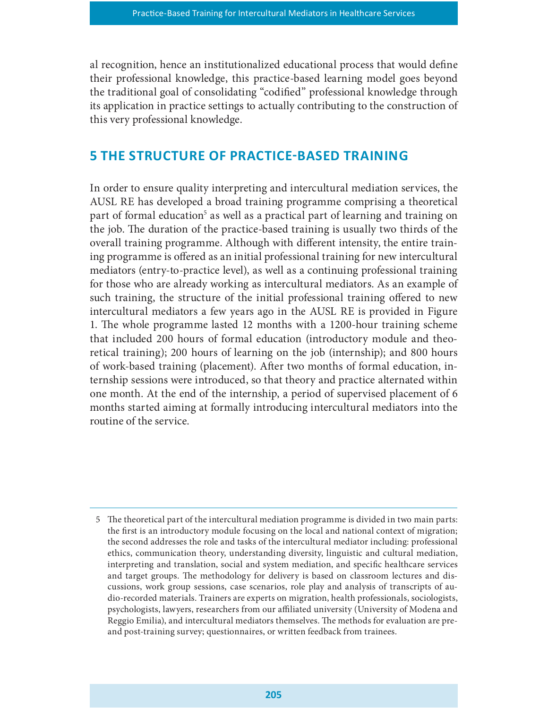al recognition, hence an institutionalized educational process that would define their professional knowledge, this practice-based learning model goes beyond the traditional goal of consolidating "codified" professional knowledge through its application in practice settings to actually contributing to the construction of this very professional knowledge.

# 5 THE STRUCTURE OF PRACTICE-BASED TRAINING

In order to ensure quality interpreting and intercultural mediation services, the AUSL RE has developed a broad training programme comprising a theoretical part of formal education<sup>5</sup> as well as a practical part of learning and training on the job. The duration of the practice-based training is usually two thirds of the overall training programme. Although with different intensity, the entire training programme is offered as an initial professional training for new intercultural mediators (entry-to-practice level), as well as a continuing professional training for those who are already working as intercultural mediators. As an example of such training, the structure of the initial professional training offered to new intercultural mediators a few years ago in the AUSL RE is provided in Figure 1. The whole programme lasted 12 months with a 1200-hour training scheme that included 200 hours of formal education (introductory module and theoretical training); 200 hours of learning on the job (internship); and 800 hours of work-based training (placement). After two months of formal education, internship sessions were introduced, so that theory and practice alternated within one month. At the end of the internship, a period of supervised placement of 6 months started aiming at formally introducing intercultural mediators into the routine of the service.

<sup>5</sup> The theoretical part of the intercultural mediation programme is divided in two main parts: the first is an introductory module focusing on the local and national context of migration; the second addresses the role and tasks of the intercultural mediator including: professional ethics, communication theory, understanding diversity, linguistic and cultural mediation, interpreting and translation, social and system mediation, and specific healthcare services and target groups. The methodology for delivery is based on classroom lectures and discussions, work group sessions, case scenarios, role play and analysis of transcripts of audio-recorded materials. Trainers are experts on migration, health professionals, sociologists, psychologists, lawyers, researchers from our aliated university (University of Modena and Reggio Emilia), and intercultural mediators themselves. The methods for evaluation are preand post-training survey; questionnaires, or written feedback from trainees.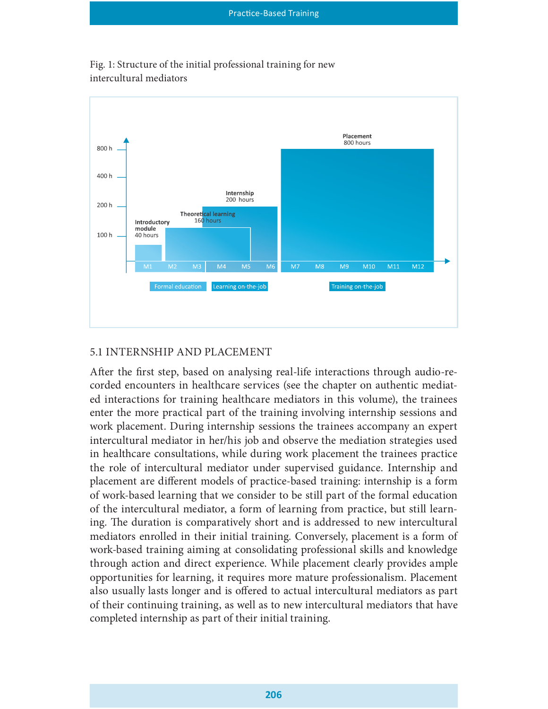

Fig. 1: Structure of the initial professional training for new intercultural mediators

### 5.1 INTERNSHIP AND PLACEMENT

After the first step, based on analysing real-life interactions through audio-recorded encounters in healthcare services (see the chapter on authentic mediated interactions for training healthcare mediators in this volume), the trainees enter the more practical part of the training involving internship sessions and work placement. During internship sessions the trainees accompany an expert intercultural mediator in her/his job and observe the mediation strategies used in healthcare consultations, while during work placement the trainees practice the role of intercultural mediator under supervised guidance. Internship and placement are different models of practice-based training: internship is a form of work-based learning that we consider to be still part of the formal education of the intercultural mediator, a form of learning from practice, but still learning. The duration is comparatively short and is addressed to new intercultural mediators enrolled in their initial training. Conversely, placement is a form of work-based training aiming at consolidating professional skills and knowledge through action and direct experience. While placement clearly provides ample opportunities for learning, it requires more mature professionalism. Placement also usually lasts longer and is offered to actual intercultural mediators as part of their continuing training, as well as to new intercultural mediators that have completed internship as part of their initial training.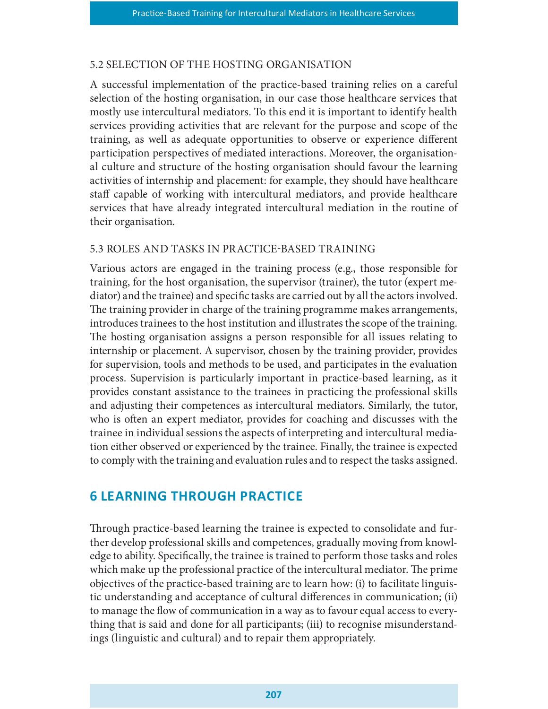#### 5.2 SELECTION OF THE HOSTING ORGANISATION

A successful implementation of the practice-based training relies on a careful selection of the hosting organisation, in our case those healthcare services that mostly use intercultural mediators. To this end it is important to identify health services providing activities that are relevant for the purpose and scope of the training, as well as adequate opportunities to observe or experience different participation perspectives of mediated interactions. Moreover, the organisational culture and structure of the hosting organisation should favour the learning activities of internship and placement: for example, they should have healthcare staff capable of working with intercultural mediators, and provide healthcare services that have already integrated intercultural mediation in the routine of their organisation.

#### 5.3 ROLES AND TASKS IN PRACTICE-BASED TRAINING

Various actors are engaged in the training process (e.g., those responsible for training, for the host organisation, the supervisor (trainer), the tutor (expert mediator) and the trainee) and specific tasks are carried out by all the actors involved. The training provider in charge of the training programme makes arrangements, introduces trainees to the host institution and illustrates the scope of the training. The hosting organisation assigns a person responsible for all issues relating to internship or placement. A supervisor, chosen by the training provider, provides for supervision, tools and methods to be used, and participates in the evaluation process. Supervision is particularly important in practice-based learning, as it provides constant assistance to the trainees in practicing the professional skills and adjusting their competences as intercultural mediators. Similarly, the tutor, who is often an expert mediator, provides for coaching and discusses with the trainee in individual sessions the aspects of interpreting and intercultural mediation either observed or experienced by the trainee. Finally, the trainee is expected to comply with the training and evaluation rules and to respect the tasks assigned.

# **6 LEARNING THROUGH PRACTICE**

Through practice-based learning the trainee is expected to consolidate and further develop professional skills and competences, gradually moving from knowledge to ability. Specifically, the trainee is trained to perform those tasks and roles which make up the professional practice of the intercultural mediator. The prime objectives of the practice-based training are to learn how: (i) to facilitate linguistic understanding and acceptance of cultural differences in communication; (ii) to manage the flow of communication in a way as to favour equal access to everything that is said and done for all participants; (iii) to recognise misunderstandings (linguistic and cultural) and to repair them appropriately.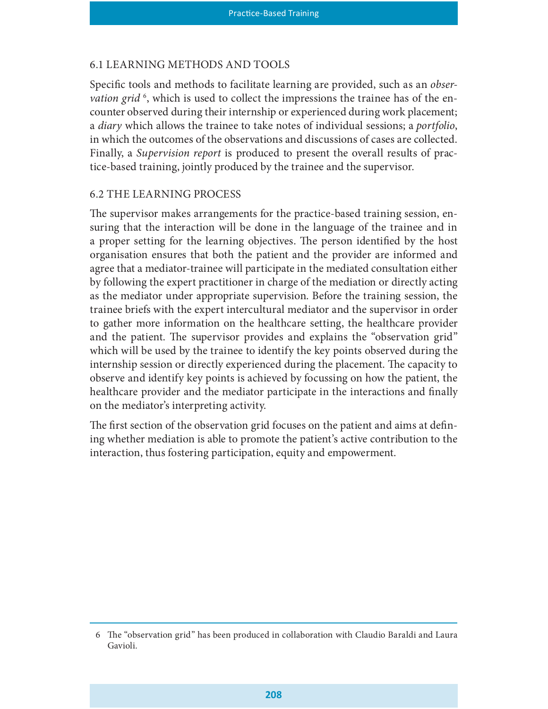#### 6.1 LEARNING METHODS AND TOOLS

Specific tools and methods to facilitate learning are provided, such as an *obser*vation grid<sup>6</sup>, which is used to collect the impressions the trainee has of the encounter observed during their internship or experienced during work placement; a *diary* which allows the trainee to take notes of individual sessions; a *portfolio*, in which the outcomes of the observations and discussions of cases are collected. Finally, a Supervision report is produced to present the overall results of practice-based training, jointly produced by the trainee and the supervisor.

#### 6.2 THE LEARNING PROCESS

The supervisor makes arrangements for the practice-based training session, ensuring that the interaction will be done in the language of the trainee and in a proper setting for the learning objectives. The person identified by the host organisation ensures that both the patient and the provider are informed and agree that a mediator-trainee will participate in the mediated consultation either by following the expert practitioner in charge of the mediation or directly acting as the mediator under appropriate supervision. Before the training session, the trainee briefs with the expert intercultural mediator and the supervisor in order to gather more information on the healthcare setting, the healthcare provider and the patient. The supervisor provides and explains the "observation grid" which will be used by the trainee to identify the key points observed during the internship session or directly experienced during the placement. The capacity to observe and identify key points is achieved by focussing on how the patient, the healthcare provider and the mediator participate in the interactions and finally on the mediator's interpreting activity.

The first section of the observation grid focuses on the patient and aims at defining whether mediation is able to promote the patient's active contribution to the interaction, thus fostering participation, equity and empowerment.

<sup>6</sup> The "observation grid" has been produced in collaboration with Claudio Baraldi and Laura Gavioli.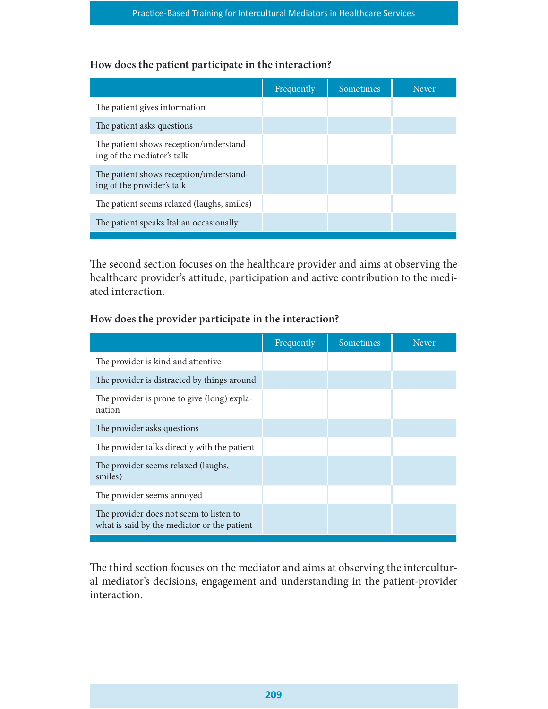### How does the patient participate in the interaction?

| Practice-Based Training for Intercultural Mediators in Healthcare Services |            |           |              |  |
|----------------------------------------------------------------------------|------------|-----------|--------------|--|
|                                                                            |            |           |              |  |
| How does the patient participate in the interaction?                       |            |           |              |  |
|                                                                            | Frequently | Sometimes | <b>Never</b> |  |
| The patient gives information                                              |            |           |              |  |
| The patient asks questions                                                 |            |           |              |  |
| The patient shows reception/understand-<br>ing of the mediator's talk      |            |           |              |  |
| The patient shows reception/understand-<br>ing of the provider's talk      |            |           |              |  |
| The patient seems relaxed (laughs, smiles)                                 |            |           |              |  |
| The patient speaks Italian occasionally                                    |            |           |              |  |

### How does the provider participate in the interaction?

| The second section focuses on the healthcare provider and aims at observing the<br>healthcare provider's attitude, participation and active contribution to the medi-<br>ated interaction. |            |           |       |
|--------------------------------------------------------------------------------------------------------------------------------------------------------------------------------------------|------------|-----------|-------|
| How does the provider participate in the interaction?                                                                                                                                      |            |           |       |
|                                                                                                                                                                                            | Frequently | Sometimes | Never |
| The provider is kind and attentive                                                                                                                                                         |            |           |       |
| The provider is distracted by things around                                                                                                                                                |            |           |       |
| The provider is prone to give (long) expla-<br>nation                                                                                                                                      |            |           |       |
| The provider asks questions                                                                                                                                                                |            |           |       |
| The provider talks directly with the patient                                                                                                                                               |            |           |       |
| The provider seems relaxed (laughs,<br>smiles)                                                                                                                                             |            |           |       |
| The provider seems annoyed                                                                                                                                                                 |            |           |       |
| The provider does not seem to listen to<br>what is said by the mediator or the patient                                                                                                     |            |           |       |

The third section focuses on the mediator and aims at observing the intercultural mediator's decisions, engagement and understanding in the patient-provider interaction.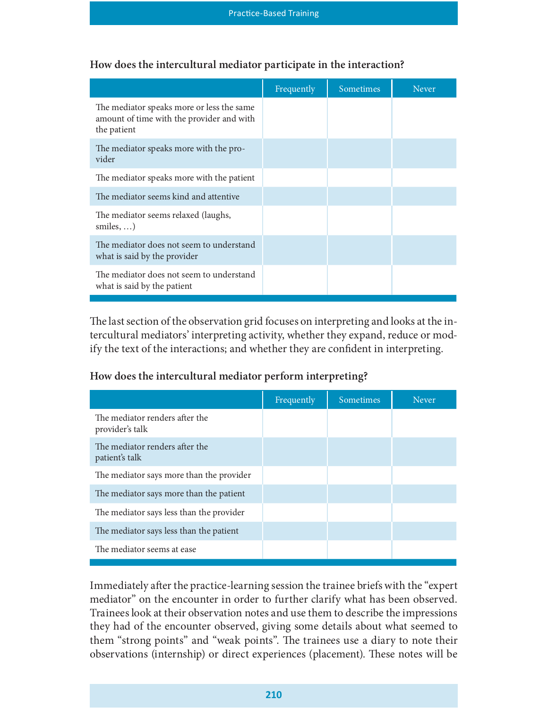| <b>Practice-Based Training</b>                                                                        |            |           |       |  |
|-------------------------------------------------------------------------------------------------------|------------|-----------|-------|--|
| How does the intercultural mediator participate in the interaction?                                   |            |           |       |  |
|                                                                                                       | Frequently | Sometimes | Never |  |
| The mediator speaks more or less the same<br>amount of time with the provider and with<br>the patient |            |           |       |  |
| The mediator speaks more with the pro-<br>vider                                                       |            |           |       |  |
| The mediator speaks more with the patient                                                             |            |           |       |  |
| The mediator seems kind and attentive                                                                 |            |           |       |  |
| The mediator seems relaxed (laughs,<br>smiles, $\dots$ )                                              |            |           |       |  |
| The mediator does not seem to understand<br>what is said by the provider                              |            |           |       |  |
| The mediator does not seem to understand<br>what is said by the patient                               |            |           |       |  |

### How does the intercultural mediator participate in the interaction?

#### How does the intercultural mediator perform interpreting?

| The last section of the observation grid focuses on interpreting and looks at the in-<br>tercultural mediators' interpreting activity, whether they expand, reduce or mod-<br>ify the text of the interactions; and whether they are confident in interpreting. |            |           |              |
|-----------------------------------------------------------------------------------------------------------------------------------------------------------------------------------------------------------------------------------------------------------------|------------|-----------|--------------|
| How does the intercultural mediator perform interpreting?                                                                                                                                                                                                       |            |           |              |
|                                                                                                                                                                                                                                                                 | Frequently | Sometimes | <b>Never</b> |
| The mediator renders after the<br>provider's talk                                                                                                                                                                                                               |            |           |              |
| The mediator renders after the<br>patient's talk                                                                                                                                                                                                                |            |           |              |
| The mediator says more than the provider                                                                                                                                                                                                                        |            |           |              |
| The mediator says more than the patient                                                                                                                                                                                                                         |            |           |              |
| The mediator says less than the provider                                                                                                                                                                                                                        |            |           |              |
| The mediator says less than the patient                                                                                                                                                                                                                         |            |           |              |
| The mediator seems at ease                                                                                                                                                                                                                                      |            |           |              |
|                                                                                                                                                                                                                                                                 |            |           |              |

Immediately after the practice-learning session the trainee briefs with the "expert" mediator" on the encounter in order to further clarify what has been observed. Trainees look at their observation notes and use them to describe the impressions they had of the encounter observed, giving some details about what seemed to them "strong points" and "weak points". The trainees use a diary to note their observations (internship) or direct experiences (placement). These notes will be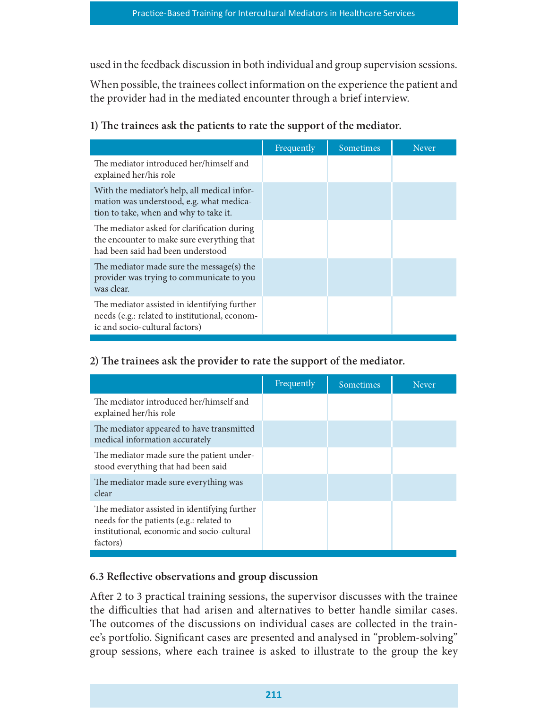| used in the feedback discussion in both individual and group supervision sessions.<br>When possible, the trainees collect information on the experience the patient and<br>the provider had in the mediated encounter through a brief interview.<br>1) The trainees ask the patients to rate the support of the mediator. |            |           |       |  |
|---------------------------------------------------------------------------------------------------------------------------------------------------------------------------------------------------------------------------------------------------------------------------------------------------------------------------|------------|-----------|-------|--|
|                                                                                                                                                                                                                                                                                                                           | Frequently | Sometimes | Never |  |
| The mediator introduced her/himself and<br>explained her/his role                                                                                                                                                                                                                                                         |            |           |       |  |
| With the mediator's help, all medical infor-<br>mation was understood, e.g. what medica-<br>tion to take, when and why to take it.                                                                                                                                                                                        |            |           |       |  |
| The mediator asked for clarification during<br>the encounter to make sure everything that<br>had been said had been understood                                                                                                                                                                                            |            |           |       |  |
| The mediator made sure the message(s) the<br>provider was trying to communicate to you<br>was clear.                                                                                                                                                                                                                      |            |           |       |  |
| The mediator assisted in identifying further<br>needs (e.g.: related to institutional, econom-<br>ic and socio-cultural factors)                                                                                                                                                                                          |            |           |       |  |
| 2) The trainees ask the provider to rate the support of the mediator.                                                                                                                                                                                                                                                     |            |           |       |  |
|                                                                                                                                                                                                                                                                                                                           | Frequently | Sometimes | Never |  |
| The mediator introduced her/himself and<br>explained her/his role                                                                                                                                                                                                                                                         |            |           |       |  |
|                                                                                                                                                                                                                                                                                                                           |            |           |       |  |

### 2) The trainees ask the provider to rate the support of the mediator.

|                                                                                                                                                    | Frequently | Sometimes | <b>Never</b> |
|----------------------------------------------------------------------------------------------------------------------------------------------------|------------|-----------|--------------|
| The mediator introduced her/himself and<br>explained her/his role                                                                                  |            |           |              |
| The mediator appeared to have transmitted<br>medical information accurately                                                                        |            |           |              |
| The mediator made sure the patient under-<br>stood everything that had been said                                                                   |            |           |              |
| The mediator made sure everything was<br>clear                                                                                                     |            |           |              |
| The mediator assisted in identifying further<br>needs for the patients (e.g.: related to<br>institutional, economic and socio-cultural<br>factors) |            |           |              |

### 6.3 Reflective observations and group discussion

After 2 to 3 practical training sessions, the supervisor discusses with the trainee the difficulties that had arisen and alternatives to better handle similar cases. The outcomes of the discussions on individual cases are collected in the trainee's portfolio. Significant cases are presented and analysed in "problem-solving" group sessions, where each trainee is asked to illustrate to the group the key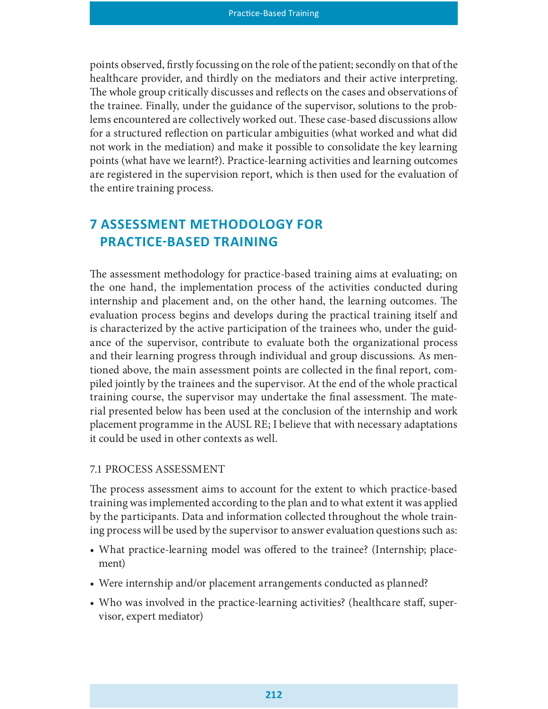points observed, firstly focussing on the role of the patient; secondly on that of the healthcare provider, and thirdly on the mediators and their active interpreting. The whole group critically discusses and reflects on the cases and observations of the trainee. Finally, under the guidance of the supervisor, solutions to the problems encountered are collectively worked out. These case-based discussions allow for a structured reflection on particular ambiguities (what worked and what did not work in the mediation) and make it possible to consolidate the key learning points (what have we learnt?). Practice-learning activities and learning outcomes are registered in the supervision report, which is then used for the evaluation of the entire training process.

# 7 ASSESSMENT METHODOLOGY FOR PRACTICE-BASED TRAINING

The assessment methodology for practice-based training aims at evaluating; on the one hand, the implementation process of the activities conducted during internship and placement and, on the other hand, the learning outcomes. The evaluation process begins and develops during the practical training itself and is characterized by the active participation of the trainees who, under the guidance of the supervisor, contribute to evaluate both the organizational process and their learning progress through individual and group discussions. As mentioned above, the main assessment points are collected in the final report, compiled jointly by the trainees and the supervisor. At the end of the whole practical training course, the supervisor may undertake the final assessment. The material presented below has been used at the conclusion of the internship and work placement programme in the AUSL RE; I believe that with necessary adaptations it could be used in other contexts as well.

#### 7.1 PROCESS ASSESSMENT

The process assessment aims to account for the extent to which practice-based training was implemented according to the plan and to what extent it was applied by the participants. Data and information collected throughout the whole training process will be used by the supervisor to answer evaluation questions such as:

- What practice-learning model was offered to the trainee? (Internship; placement)
- Were internship and/or placement arrangements conducted as planned?
- Who was involved in the practice-learning activities? (healthcare staff, supervisor, expert mediator)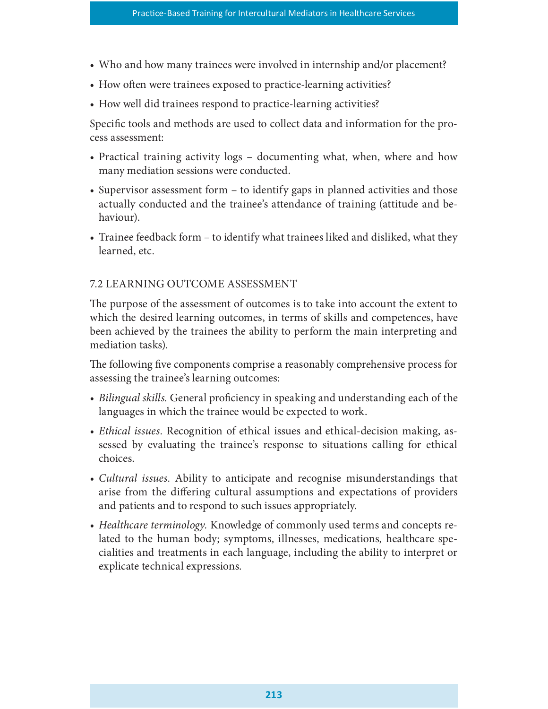- Who and how many trainees were involved in internship and/or placement?
- How often were trainees exposed to practice-learning activities?
- How well did trainees respond to practice-learning activities?

Specific tools and methods are used to collect data and information for the process assessment:

- Practical training activity logs documenting what, when, where and how many mediation sessions were conducted.
- Supervisor assessment form to identify gaps in planned activities and those actually conducted and the trainee's attendance of training (attitude and behaviour).
- Trainee feedback form to identify what trainees liked and disliked, what they learned, etc.

### 7.2 LEARNING OUTCOME ASSESSMENT

The purpose of the assessment of outcomes is to take into account the extent to which the desired learning outcomes, in terms of skills and competences, have been achieved by the trainees the ability to perform the main interpreting and mediation tasks).

The following five components comprise a reasonably comprehensive process for assessing the trainee's learning outcomes:

- Bilingual skills. General proficiency in speaking and understanding each of the languages in which the trainee would be expected to work.
- Ethical issues. Recognition of ethical issues and ethical-decision making, assessed by evaluating the trainee's response to situations calling for ethical choices.
- Cultural issues. Ability to anticipate and recognise misunderstandings that arise from the differing cultural assumptions and expectations of providers and patients and to respond to such issues appropriately.
- Healthcare terminology. Knowledge of commonly used terms and concepts related to the human body; symptoms, illnesses, medications, healthcare specialities and treatments in each language, including the ability to interpret or explicate technical expressions.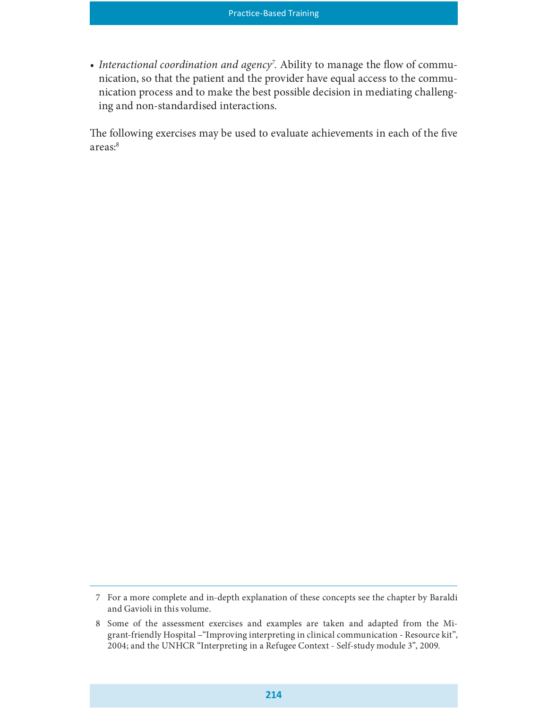• Interactional coordination and agency<sup>7</sup>. Ability to manage the flow of communication, so that the patient and the provider have equal access to the communication process and to make the best possible decision in mediating challenging and non-standardised interactions.

The following exercises may be used to evaluate achievements in each of the five areas:<sup>8</sup>

<sup>7</sup> For a more complete and in-depth explanation of these concepts see the chapter by Baraldi and Gavioli in this volume.

<sup>8</sup> Some of the assessment exercises and examples are taken and adapted from the Migrant-friendly Hospital –"Improving interpreting in clinical communication - Resource kit", 2004; and the UNHCR "Interpreting in a Refugee Context - Self-study module 3", 2009.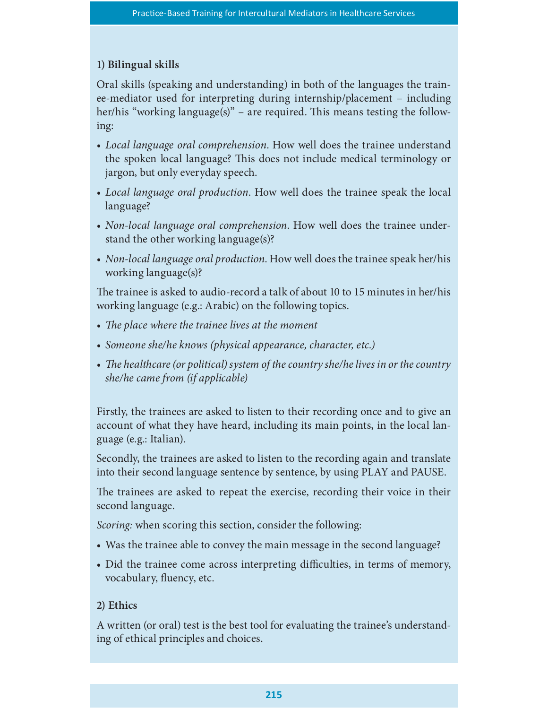## 1) Bilingual skills

Oral skills (speaking and understanding) in both of the languages the trainee-mediator used for interpreting during internship/placement – including her/his "working language(s)" – are required. This means testing the following:

- Local language oral comprehension. How well does the trainee understand the spoken local language? This does not include medical terminology or jargon, but only everyday speech.
- Local language oral production. How well does the trainee speak the local language?
- Non-local language oral comprehension. How well does the trainee understand the other working language(s)?
- Non-local language oral production. How well does the trainee speak her/his working language(s)?

e trainee is asked to audio-record a talk of about 10 to 15 minutes in her/his working language (e.g.: Arabic) on the following topics.

- The place where the trainee lives at the moment
- Someone she/he knows (physical appearance, character, etc.)
- The healthcare (or political) system of the country she/he lives in or the country she/he came from (if applicable)

Firstly, the trainees are asked to listen to their recording once and to give an account of what they have heard, including its main points, in the local language (e.g.: Italian).

Secondly, the trainees are asked to listen to the recording again and translate into their second language sentence by sentence, by using PLAY and PAUSE.

The trainees are asked to repeat the exercise, recording their voice in their second language.

Scoring: when scoring this section, consider the following:

- Was the trainee able to convey the main message in the second language?
- Did the trainee come across interpreting difficulties, in terms of memory, vocabulary, fluency, etc.

### 2) Ethics

A written (or oral) test is the best tool for evaluating the trainee's understanding of ethical principles and choices.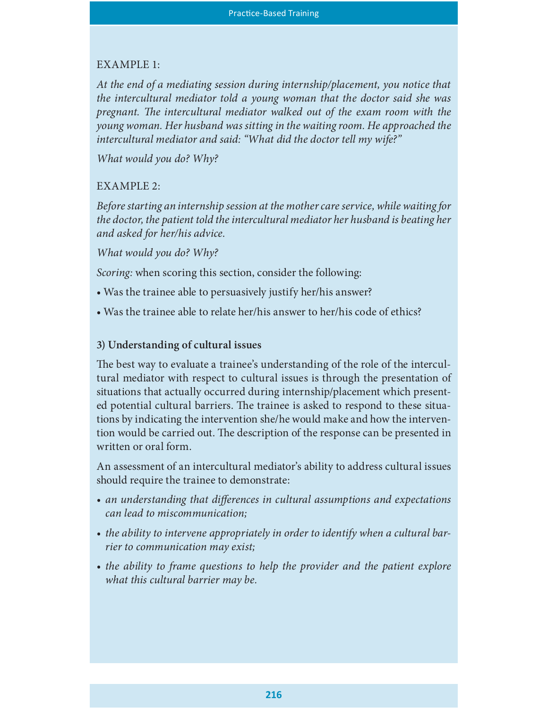### EXAMPLE 1:

At the end of a mediating session during internship/placement, you notice that the intercultural mediator told a young woman that the doctor said she was pregnant. The intercultural mediator walked out of the exam room with the young woman. Her husband was sitting in the waiting room. He approached the intercultural mediator and said: "What did the doctor tell my wife?"

What would you do? Why?

### EXAMPLE 2:

Before starting an internship session at the mother care service, while waiting for the doctor, the patient told the intercultural mediator her husband is beating her and asked for her/his advice.

What would you do? Why?

Scoring: when scoring this section, consider the following:

- Was the trainee able to persuasively justify her/his answer?
- Was the trainee able to relate her/his answer to her/his code of ethics?

### 3) Understanding of cultural issues

The best way to evaluate a trainee's understanding of the role of the intercultural mediator with respect to cultural issues is through the presentation of situations that actually occurred during internship/placement which presented potential cultural barriers. The trainee is asked to respond to these situations by indicating the intervention she/he would make and how the intervention would be carried out. The description of the response can be presented in written or oral form.

An assessment of an intercultural mediator's ability to address cultural issues should require the trainee to demonstrate:

- an understanding that differences in cultural assumptions and expectations can lead to miscommunication;
- the ability to intervene appropriately in order to identify when a cultural barrier to communication may exist;
- the ability to frame questions to help the provider and the patient explore what this cultural barrier may be.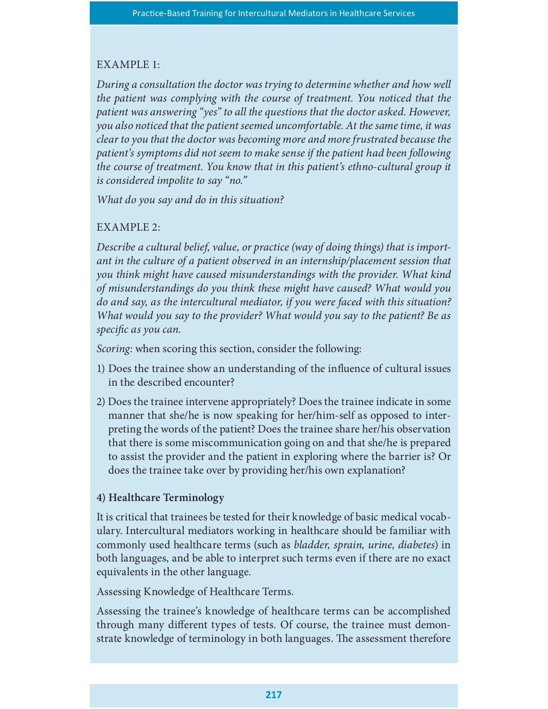### EXAMPLE 1:

During a consultation the doctor was trying to determine whether and how well the patient was complying with the course of treatment. You noticed that the patient was answering "yes" to all the questions that the doctor asked. However, you also noticed that the patient seemed uncomfortable. At the same time, it was clear to you that the doctor was becoming more and more frustrated because the patient's symptoms did not seem to make sense if the patient had been following the course of treatment. You know that in this patient's ethno-cultural group it is considered impolite to say "no."

What do you say and do in this situation?

### EXAMPLE 2:

Describe a cultural belief, value, or practice (way of doing things) that is important in the culture of a patient observed in an internship/placement session that you think might have caused misunderstandings with the provider. What kind of misunderstandings do you think these might have caused? What would you do and say, as the intercultural mediator, if you were faced with this situation? What would you say to the provider? What would you say to the patient? Be as specific as you can.

Scoring: when scoring this section, consider the following:

- 1) Does the trainee show an understanding of the influence of cultural issues in the described encounter?
- 2) Does the trainee intervene appropriately? Does the trainee indicate in some manner that she/he is now speaking for her/him-self as opposed to interpreting the words of the patient? Does the trainee share her/his observation that there is some miscommunication going on and that she/he is prepared to assist the provider and the patient in exploring where the barrier is? Or does the trainee take over by providing her/his own explanation?

### 4) Healthcare Terminology

It is critical that trainees be tested for their knowledge of basic medical vocabulary. Intercultural mediators working in healthcare should be familiar with commonly used healthcare terms (such as bladder, sprain, urine, diabetes) in both languages, and be able to interpret such terms even if there are no exact equivalents in the other language.

Assessing Knowledge of Healthcare Terms.

Assessing the trainee's knowledge of healthcare terms can be accomplished through many different types of tests. Of course, the trainee must demonstrate knowledge of terminology in both languages. The assessment therefore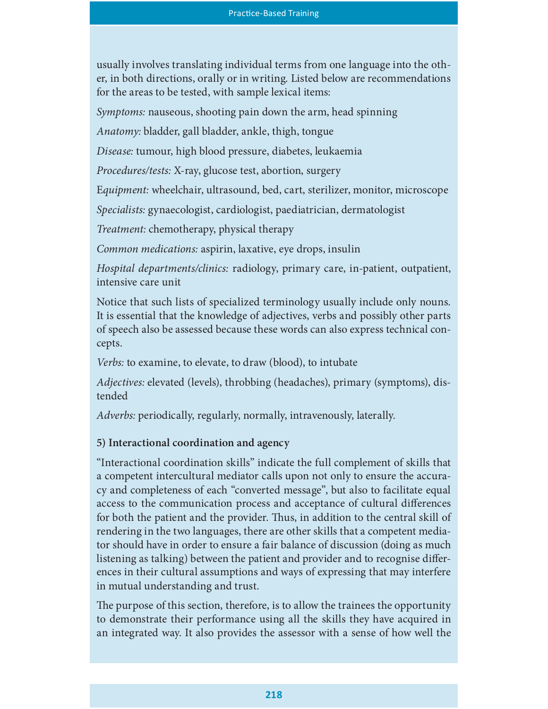usually involves translating individual terms from one language into the other, in both directions, orally or in writing. Listed below are recommendations for the areas to be tested, with sample lexical items:

Symptoms: nauseous, shooting pain down the arm, head spinning

Anatomy: bladder, gall bladder, ankle, thigh, tongue

Disease: tumour, high blood pressure, diabetes, leukaemia

Procedures/tests: X-ray, glucose test, abortion, surgery

Equipment: wheelchair, ultrasound, bed, cart, sterilizer, monitor, microscope

Specialists: gynaecologist, cardiologist, paediatrician, dermatologist

Treatment: chemotherapy, physical therapy

Common medications: aspirin, laxative, eye drops, insulin

Hospital departments/clinics: radiology, primary care, in-patient, outpatient, intensive care unit

Notice that such lists of specialized terminology usually include only nouns. It is essential that the knowledge of adjectives, verbs and possibly other parts of speech also be assessed because these words can also express technical concepts.

Verbs: to examine, to elevate, to draw (blood), to intubate

Adjectives: elevated (levels), throbbing (headaches), primary (symptoms), distended

Adverbs: periodically, regularly, normally, intravenously, laterally.

# 5) Interactional coordination and agency

"Interactional coordination skills" indicate the full complement of skills that a competent intercultural mediator calls upon not only to ensure the accuracy and completeness of each "converted message", but also to facilitate equal access to the communication process and acceptance of cultural differences for both the patient and the provider. Thus, in addition to the central skill of rendering in the two languages, there are other skills that a competent mediator should have in order to ensure a fair balance of discussion (doing as much listening as talking) between the patient and provider and to recognise differences in their cultural assumptions and ways of expressing that may interfere in mutual understanding and trust.

The purpose of this section, therefore, is to allow the trainees the opportunity to demonstrate their performance using all the skills they have acquired in an integrated way. It also provides the assessor with a sense of how well the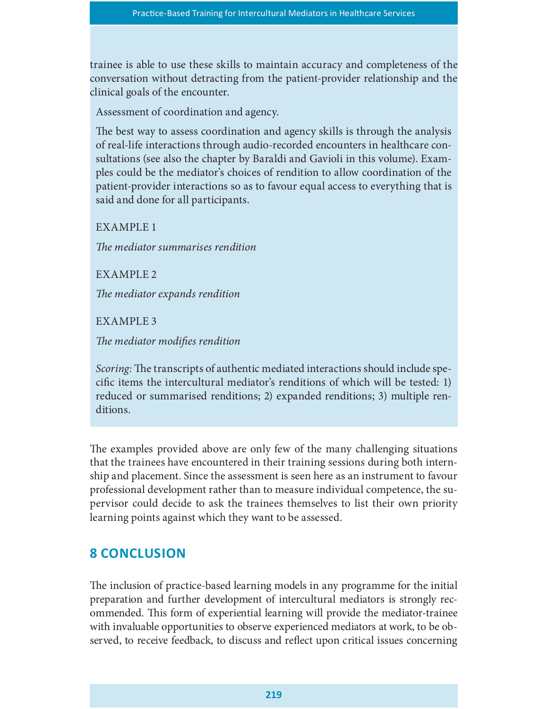trainee is able to use these skills to maintain accuracy and completeness of the conversation without detracting from the patient-provider relationship and the clinical goals of the encounter.

Assessment of coordination and agency.

The best way to assess coordination and agency skills is through the analysis of real-life interactions through audio-recorded encounters in healthcare consultations (see also the chapter by Baraldi and Gavioli in this volume). Examples could be the mediator's choices of rendition to allow coordination of the patient-provider interactions so as to favour equal access to everything that is said and done for all participants.

EXAMPLE 1

The mediator summarises rendition

EXAMPLE 2

The mediator expands rendition

EXAMPLE 3

The mediator modifies rendition

Scoring: The transcripts of authentic mediated interactions should include specific items the intercultural mediator's renditions of which will be tested: 1) reduced or summarised renditions; 2) expanded renditions; 3) multiple renditions.

The examples provided above are only few of the many challenging situations that the trainees have encountered in their training sessions during both internship and placement. Since the assessment is seen here as an instrument to favour professional development rather than to measure individual competence, the supervisor could decide to ask the trainees themselves to list their own priority learning points against which they want to be assessed.

# **8 CONCLUSION**

The inclusion of practice-based learning models in any programme for the initial preparation and further development of intercultural mediators is strongly recommended. This form of experiential learning will provide the mediator-trainee with invaluable opportunities to observe experienced mediators at work, to be observed, to receive feedback, to discuss and reflect upon critical issues concerning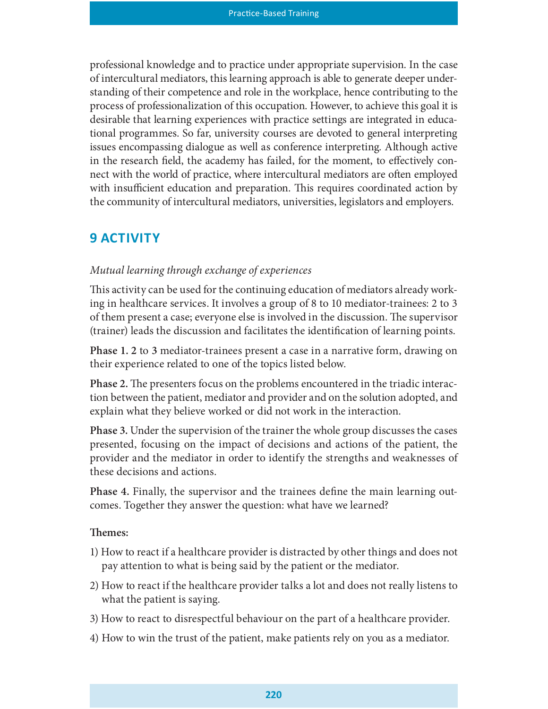professional knowledge and to practice under appropriate supervision. In the case of intercultural mediators, this learning approach is able to generate deeper understanding of their competence and role in the workplace, hence contributing to the process of professionalization of this occupation. However, to achieve this goal it is desirable that learning experiences with practice settings are integrated in educational programmes. So far, university courses are devoted to general interpreting issues encompassing dialogue as well as conference interpreting. Although active in the research field, the academy has failed, for the moment, to effectively connect with the world of practice, where intercultural mediators are often employed with insufficient education and preparation. This requires coordinated action by the community of intercultural mediators, universities, legislators and employers.

# **9 ACTIVITY**

#### Mutual learning through exchange of experiences

This activity can be used for the continuing education of mediators already working in healthcare services. It involves a group of 8 to 10 mediator-trainees: 2 to 3 of them present a case; everyone else is involved in the discussion. The supervisor (trainer) leads the discussion and facilitates the identification of learning points.

Phase 1. 2 to 3 mediator-trainees present a case in a narrative form, drawing on their experience related to one of the topics listed below.

Phase 2. The presenters focus on the problems encountered in the triadic interaction between the patient, mediator and provider and on the solution adopted, and explain what they believe worked or did not work in the interaction.

Phase 3. Under the supervision of the trainer the whole group discusses the cases presented, focusing on the impact of decisions and actions of the patient, the provider and the mediator in order to identify the strengths and weaknesses of these decisions and actions.

Phase 4. Finally, the supervisor and the trainees define the main learning outcomes. Together they answer the question: what have we learned?

#### Themes:

- 1) How to react if a healthcare provider is distracted by other things and does not pay attention to what is being said by the patient or the mediator.
- 2) How to react if the healthcare provider talks a lot and does not really listens to what the patient is saying.
- 3) How to react to disrespectful behaviour on the part of a healthcare provider.
- 4) How to win the trust of the patient, make patients rely on you as a mediator.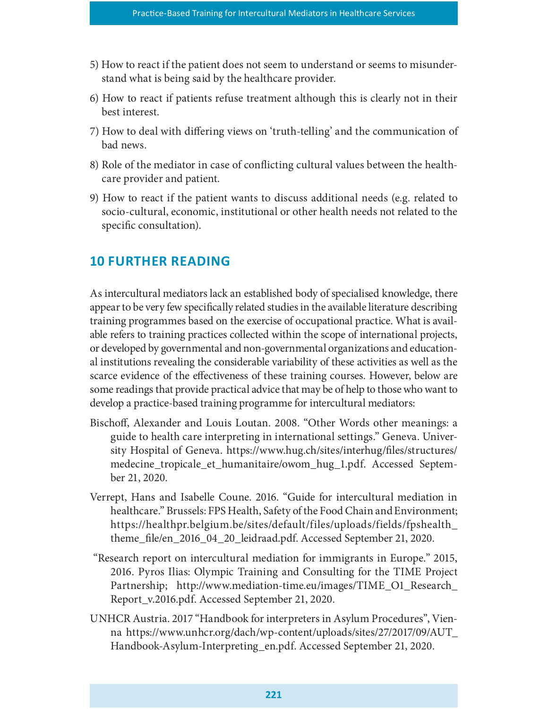- 5) How to react if the patient does not seem to understand or seems to misunderstand what is being said by the healthcare provider.
- 6) How to react if patients refuse treatment although this is clearly not in their best interest.
- 7) How to deal with differing views on 'truth-telling' and the communication of bad news.
- 8) Role of the mediator in case of conflicting cultural values between the healthcare provider and patient.
- 9) How to react if the patient wants to discuss additional needs (e.g. related to socio-cultural, economic, institutional or other health needs not related to the specific consultation).

# **10 FURTHER READING**

As intercultural mediators lack an established body of specialised knowledge, there appear to be very few specifically related studies in the available literature describing training programmes based on the exercise of occupational practice. What is available refers to training practices collected within the scope of international projects, or developed by governmental and non-governmental organizations and educational institutions revealing the considerable variability of these activities as well as the scarce evidence of the effectiveness of these training courses. However, below are some readings that provide practical advice that may be of help to those who want to develop a practice-based training programme for intercultural mediators:

- Bischoff, Alexander and Louis Loutan. 2008. "Other Words other meanings: a guide to health care interpreting in international settings." Geneva. University Hospital of Geneva. https://www.hug.ch/sites/interhug/files/structures/ medecine\_tropicale\_et\_humanitaire/owom\_hug\_1.pdf. Accessed September 21, 2020.
- Verrept, Hans and Isabelle Coune. 2016. "Guide for intercultural mediation in healthcare." Brussels: FPS Health, Safety of the Food Chain and Environment; https://healthpr.belgium.be/sites/default/files/uploads/fields/fpshealth\_ theme\_file/en\_2016\_04\_20\_leidraad.pdf. Accessed September 21, 2020.
- "Research report on intercultural mediation for immigrants in Europe." 2015, 2016. Pyros Ilias: Olympic Training and Consulting for the TIME Project Partnership; http://www.mediation-time.eu/images/TIME\_O1\_Research\_ Report\_v.2016.pdf. Accessed September 21, 2020.
- UNHCR Austria. 2017 "Handbook for interpreters in Asylum Procedures", Vienna https://www.unhcr.org/dach/wp-content/uploads/sites/27/2017/09/AUT\_ Handbook-Asylum-Interpreting\_en.pdf. Accessed September 21, 2020.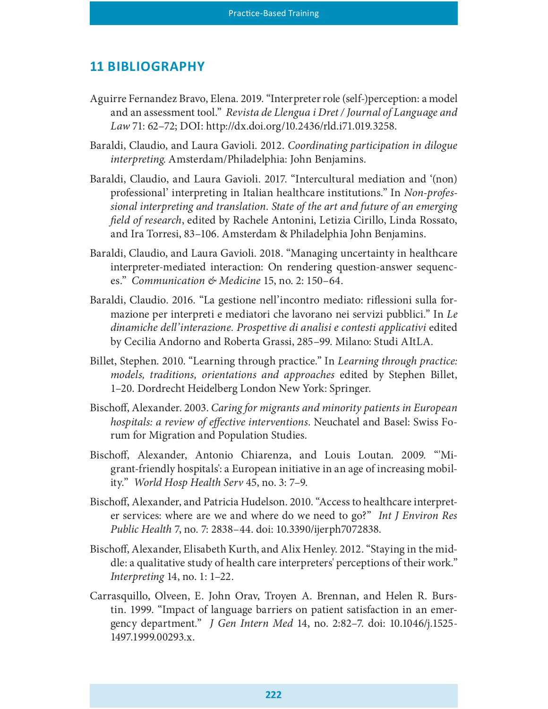### 11 BIBLIOGRAPHY

- Aguirre Fernandez Bravo, Elena. 2019. "Interpreter role (self-)perception: a model and an assessment tool." Revista de Llengua i Dret / Journal of Language and Law 71: 62–72; DOI: http://dx.doi.org/10.2436/rld.i71.019.3258.
- Baraldi, Claudio, and Laura Gavioli. 2012. Coordinating participation in dilogue interpreting. Amsterdam/Philadelphia: John Benjamins.
- Baraldi, Claudio, and Laura Gavioli. 2017. "Intercultural mediation and '(non) professional' interpreting in Italian healthcare institutions." In Non-professional interpreting and translation. State of the art and future of an emerging field of research, edited by Rachele Antonini, Letizia Cirillo, Linda Rossato, and Ira Torresi, 83–106. Amsterdam & Philadelphia John Benjamins.
- Baraldi, Claudio, and Laura Gavioli. 2018. "Managing uncertainty in healthcare interpreter-mediated interaction: On rendering question-answer sequences." Communication & Medicine 15, no. 2: 150–64.
- Baraldi, Claudio. 2016. "La gestione nell'incontro mediato: riflessioni sulla formazione per interpreti e mediatori che lavorano nei servizi pubblici." In Le dinamiche dell'interazione. Prospettive di analisi e contesti applicativi edited by Cecilia Andorno and Roberta Grassi, 285–99. Milano: Studi AItLA.
- Billet, Stephen. 2010. "Learning through practice." In Learning through practice: models, traditions, orientations and approaches edited by Stephen Billet, 1–20. Dordrecht Heidelberg London New York: Springer.
- Bischoff, Alexander. 2003. Caring for migrants and minority patients in European hospitals: a review of effective interventions. Neuchatel and Basel: Swiss Forum for Migration and Population Studies.
- Bischoff, Alexander, Antonio Chiarenza, and Louis Loutan. 2009. "Migrant-friendly hospitals': a European initiative in an age of increasing mobility." World Hosp Health Serv 45, no. 3: 7–9.
- Bischoff, Alexander, and Patricia Hudelson. 2010. "Access to healthcare interpreter services: where are we and where do we need to go?" Int J Environ Res Public Health 7, no. 7: 2838–44. doi: 10.3390/ijerph7072838.
- Bischoff, Alexander, Elisabeth Kurth, and Alix Henley. 2012. "Staying in the middle: a qualitative study of health care interpreters' perceptions of their work." Interpreting 14, no. 1: 1–22.
- Carrasquillo, Olveen, E. John Orav, Troyen A. Brennan, and Helen R. Burstin. 1999. "Impact of language barriers on patient satisfaction in an emergency department." J Gen Intern Med 14, no. 2:82–7. doi: 10.1046/j.1525- 1497.1999.00293.x.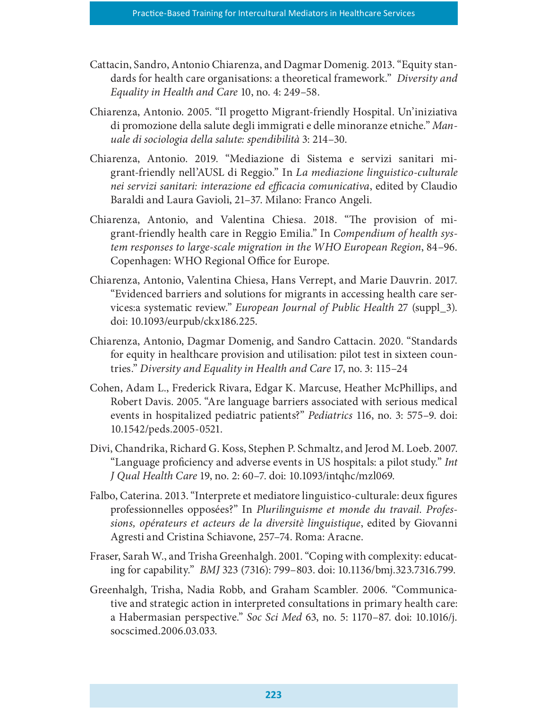- Cattacin, Sandro, Antonio Chiarenza, and Dagmar Domenig. 2013. "Equity standards for health care organisations: a theoretical framework." Diversity and Equality in Health and Care 10, no. 4: 249–58.
- Chiarenza, Antonio. 2005. "Il progetto Migrant-friendly Hospital. Un'iniziativa di promozione della salute degli immigrati e delle minoranze etniche." Manuale di sociologia della salute: spendibilità 3: 214–30.
- Chiarenza, Antonio. 2019. "Mediazione di Sistema e servizi sanitari migrant-friendly nell'AUSL di Reggio." In La mediazione linguistico-culturale nei servizi sanitari: interazione ed efficacia comunicativa, edited by Claudio Baraldi and Laura Gavioli, 21–37. Milano: Franco Angeli.
- Chiarenza, Antonio, and Valentina Chiesa. 2018. "The provision of migrant-friendly health care in Reggio Emilia." In Compendium of health system responses to large-scale migration in the WHO European Region, 84–96. Copenhagen: WHO Regional Office for Europe.
- Chiarenza, Antonio, Valentina Chiesa, Hans Verrept, and Marie Dauvrin. 2017. "Evidenced barriers and solutions for migrants in accessing health care services:a systematic review." European Journal of Public Health 27 (suppl\_3). doi: 10.1093/eurpub/ckx186.225.
- Chiarenza, Antonio, Dagmar Domenig, and Sandro Cattacin. 2020. "Standards for equity in healthcare provision and utilisation: pilot test in sixteen countries." Diversity and Equality in Health and Care 17, no. 3: 115–24
- Cohen, Adam L., Frederick Rivara, Edgar K. Marcuse, Heather McPhillips, and Robert Davis. 2005. "Are language barriers associated with serious medical events in hospitalized pediatric patients?" Pediatrics 116, no. 3: 575–9. doi: 10.1542/peds.2005-0521.
- Divi, Chandrika, Richard G. Koss, Stephen P. Schmaltz, and Jerod M. Loeb. 2007. "Language proficiency and adverse events in US hospitals: a pilot study." *Int* J Qual Health Care 19, no. 2: 60–7. doi: 10.1093/intqhc/mzl069.
- Falbo, Caterina. 2013. "Interprete et mediatore linguistico-culturale: deux figures professionnelles opposées?" In Plurilinguisme et monde du travail. Professions, opérateurs et acteurs de la diversitè linguistique, edited by Giovanni Agresti and Cristina Schiavone, 257–74. Roma: Aracne.
- Fraser, Sarah W., and Trisha Greenhalgh. 2001. "Coping with complexity: educating for capability." BMJ 323 (7316): 799–803. doi: 10.1136/bmj.323.7316.799.
- Greenhalgh, Trisha, Nadia Robb, and Graham Scambler. 2006. "Communicative and strategic action in interpreted consultations in primary health care: a Habermasian perspective." Soc Sci Med 63, no. 5: 1170–87. doi: 10.1016/j. socscimed.2006.03.033.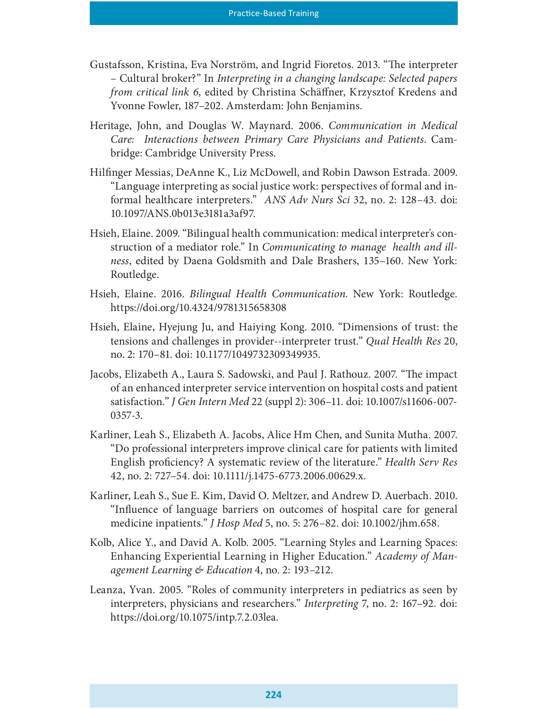- Gustafsson, Kristina, Eva Norström, and Ingrid Fioretos. 2013. "The interpreter – Cultural broker?" In Interpreting in a changing landscape: Selected papers from critical link 6, edited by Christina Schäffner, Krzysztof Kredens and Yvonne Fowler, 187–202. Amsterdam: John Benjamins.
- Heritage, John, and Douglas W. Maynard. 2006. Communication in Medical Care: Interactions between Primary Care Physicians and Patients. Cambridge: Cambridge University Press.
- Hilnger Messias, DeAnne K., Liz McDowell, and Robin Dawson Estrada. 2009. "Language interpreting as social justice work: perspectives of formal and informal healthcare interpreters." ANS Adv Nurs Sci 32, no. 2: 128–43. doi: 10.1097/ANS.0b013e3181a3af97.
- Hsieh, Elaine. 2009. "Bilingual health communication: medical interpreter's construction of a mediator role." In Communicating to manage health and illness, edited by Daena Goldsmith and Dale Brashers, 135–160. New York: Routledge.
- Hsieh, Elaine. 2016. Bilingual Health Communication. New York: Routledge. https://doi.org/10.4324/9781315658308
- Hsieh, Elaine, Hyejung Ju, and Haiying Kong. 2010. "Dimensions of trust: the tensions and challenges in provider--interpreter trust." Qual Health Res 20, no. 2: 170–81. doi: 10.1177/1049732309349935.
- Jacobs, Elizabeth A., Laura S. Sadowski, and Paul J. Rathouz. 2007. "The impact of an enhanced interpreter service intervention on hospital costs and patient satisfaction." J Gen Intern Med 22 (suppl 2): 306–11. doi: 10.1007/s11606-007- 0357-3.
- Karliner, Leah S., Elizabeth A. Jacobs, Alice Hm Chen, and Sunita Mutha. 2007. "Do professional interpreters improve clinical care for patients with limited English proficiency? A systematic review of the literature." Health Serv Res 42, no. 2: 727–54. doi: 10.1111/j.1475-6773.2006.00629.x.
- Karliner, Leah S., Sue E. Kim, David O. Meltzer, and Andrew D. Auerbach. 2010. "Influence of language barriers on outcomes of hospital care for general medicine inpatients." J Hosp Med 5, no. 5: 276–82. doi: 10.1002/jhm.658.
- Kolb, Alice Y., and David A. Kolb. 2005. "Learning Styles and Learning Spaces: Enhancing Experiential Learning in Higher Education." Academy of Management Learning & Education 4, no. 2: 193–212.
- Leanza, Yvan. 2005. "Roles of community interpreters in pediatrics as seen by interpreters, physicians and researchers." Interpreting 7, no. 2: 167–92. doi: https://doi.org/10.1075/intp.7.2.03lea.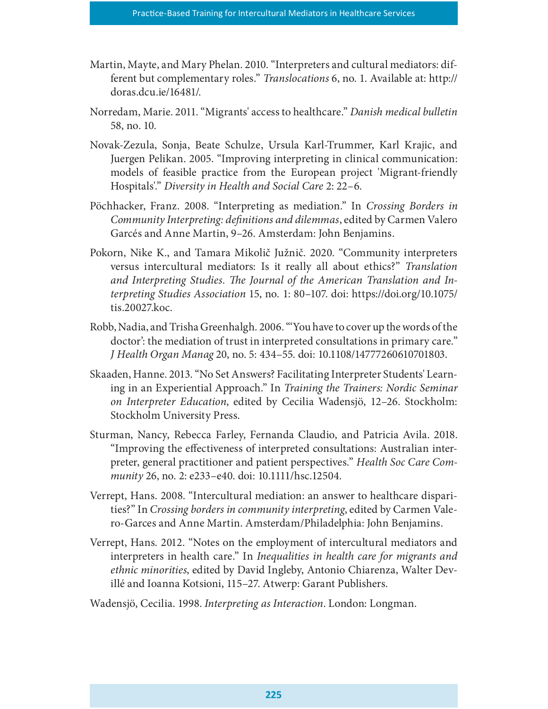- Martin, Mayte, and Mary Phelan. 2010. "Interpreters and cultural mediators: different but complementary roles." Translocations 6, no. 1. Available at: http:// doras.dcu.ie/16481/.
- Norredam, Marie. 2011. "Migrants' access to healthcare." Danish medical bulletin 58, no. 10.
- Novak-Zezula, Sonja, Beate Schulze, Ursula Karl-Trummer, Karl Krajic, and Juergen Pelikan. 2005. "Improving interpreting in clinical communication: models of feasible practice from the European project 'Migrant-friendly Hospitals'." Diversity in Health and Social Care 2: 22–6.
- Pöchhacker, Franz. 2008. "Interpreting as mediation." In Crossing Borders in Community Interpreting: de{nitions and dilemmas, edited by Carmen Valero Garcés and Anne Martin, 9–26. Amsterdam: John Benjamins.
- Pokorn, Nike K., and Tamara Mikolič Južnič. 2020. "Community interpreters versus intercultural mediators: Is it really all about ethics?" Translation and Interpreting Studies. The Journal of the American Translation and Interpreting Studies Association 15, no. 1: 80–107. doi: https://doi.org/10.1075/ tis.20027.koc.
- Robb, Nadia, and Trisha Greenhalgh. 2006. "'You have to cover up the words of the doctor': the mediation of trust in interpreted consultations in primary care." J Health Organ Manag 20, no. 5: 434–55. doi: 10.1108/14777260610701803.
- Skaaden, Hanne. 2013. "No Set Answers? Facilitating Interpreter Students' Learning in an Experiential Approach." In Training the Trainers: Nordic Seminar on Interpreter Education, edited by Cecilia Wadensjö, 12–26. Stockholm: Stockholm University Press.
- Sturman, Nancy, Rebecca Farley, Fernanda Claudio, and Patricia Avila. 2018. "Improving the effectiveness of interpreted consultations: Australian interpreter, general practitioner and patient perspectives." Health Soc Care Community 26, no. 2: e233–e40. doi: 10.1111/hsc.12504.
- Verrept, Hans. 2008. "Intercultural mediation: an answer to healthcare disparities?" In Crossing borders in community interpreting, edited by Carmen Valero-Garces and Anne Martin. Amsterdam/Philadelphia: John Benjamins.
- Verrept, Hans. 2012. "Notes on the employment of intercultural mediators and interpreters in health care." In Inequalities in health care for migrants and ethnic minorities, edited by David Ingleby, Antonio Chiarenza, Walter Devillé and Ioanna Kotsioni, 115–27. Atwerp: Garant Publishers.
- Wadensjö, Cecilia. 1998. Interpreting as Interaction. London: Longman.